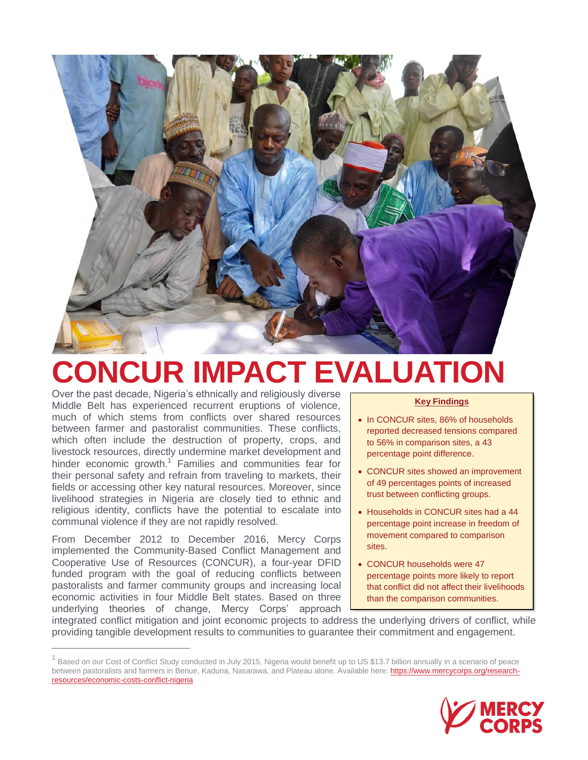

# **CONCUR IMPACT EVALUATION**

Over the past decade, Nigeria's ethnically and religiously diverse Middle Belt has experienced recurrent eruptions of violence, much of which stems from conflicts over shared resources between farmer and pastoralist communities. These conflicts, which often include the destruction of property, crops, and livestock resources, directly undermine market development and hinder economic growth.<sup>1</sup> Families and communities fear for their personal safety and refrain from traveling to markets, their fields or accessing other key natural resources. Moreover, since livelihood strategies in Nigeria are closely tied to ethnic and religious identity, conflicts have the potential to escalate into communal violence if they are not rapidly resolved.

From December 2012 to December 2016, Mercy Corps implemented the Community-Based Conflict Management and Cooperative Use of Resources (CONCUR), a four-year DFID funded program with the goal of reducing conflicts between pastoralists and farmer community groups and increasing local economic activities in four Middle Belt states. Based on three underlying theories of change, Mercy Corps' approach

 $\overline{a}$ 

#### **Key Findings**

- In CONCUR sites, 86% of households reported decreased tensions compared to 56% in comparison sites, a 43 percentage point difference.
- CONCUR sites showed an improvement of 49 percentages points of increased trust between conflicting groups.
- Households in CONCUR sites had a 44 percentage point increase in freedom of movement compared to comparison sites.
- CONCUR households were 47 percentage points more likely to report that conflict did not affect their livelihoods than the comparison communities.

integrated conflict mitigation and joint economic projects to address the underlying drivers of conflict, while providing tangible development results to communities to guarantee their commitment and engagement.

<sup>1</sup> Based on our Cost of Conflict Study conducted in July 2015, Nigeria would benefit up to US \$13.7 billion annually in a scenario of peace between pastoralists and farmers in Benue, Kaduna, Nasarawa, and Plateau alone. Available here: [https://www.mercycorps.org/research](https://www.mercycorps.org/research-resources/economic-costs-conflict-nigeria)[resources/economic-costs-conflict-nigeria](https://www.mercycorps.org/research-resources/economic-costs-conflict-nigeria)

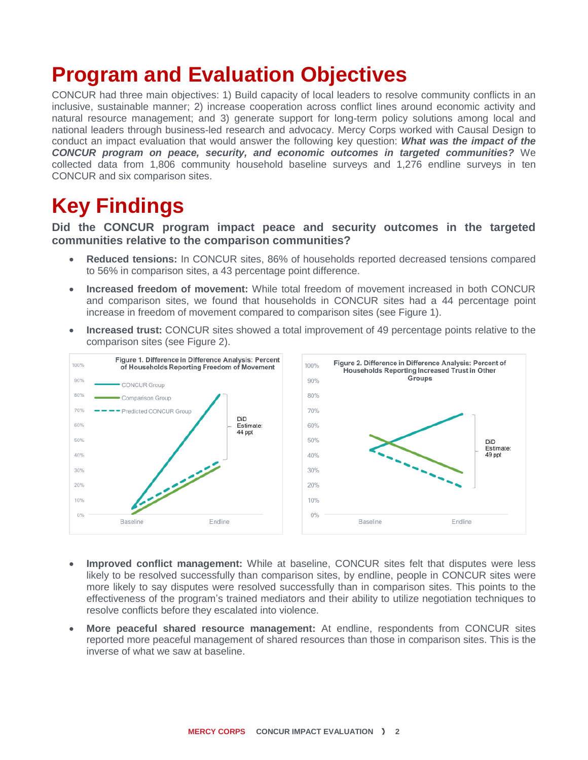### **Program and Evaluation Objectives**

CONCUR had three main objectives: 1) Build capacity of local leaders to resolve community conflicts in an inclusive, sustainable manner; 2) increase cooperation across conflict lines around economic activity and natural resource management; and 3) generate support for long-term policy solutions among local and national leaders through business-led research and advocacy. Mercy Corps worked with Causal Design to conduct an impact evaluation that would answer the following key question: *What was the impact of the CONCUR program on peace, security, and economic outcomes in targeted communities?* We collected data from 1,806 community household baseline surveys and 1,276 endline surveys in ten CONCUR and six comparison sites.

## **Key Findings**

#### **Did the CONCUR program impact peace and security outcomes in the targeted communities relative to the comparison communities?**

- **Reduced tensions:** In CONCUR sites, 86% of households reported decreased tensions compared to 56% in comparison sites, a 43 percentage point difference.
- **Increased freedom of movement:** While total freedom of movement increased in both CONCUR and comparison sites, we found that households in CONCUR sites had a 44 percentage point increase in freedom of movement compared to comparison sites (see Figure 1).
- **Increased trust:** CONCUR sites showed a total improvement of 49 percentage points relative to the comparison sites (see Figure 2).



- **Improved conflict management:** While at baseline, CONCUR sites felt that disputes were less likely to be resolved successfully than comparison sites, by endline, people in CONCUR sites were more likely to say disputes were resolved successfully than in comparison sites. This points to the effectiveness of the program's trained mediators and their ability to utilize negotiation techniques to resolve conflicts before they escalated into violence.
- **More peaceful shared resource management:** At endline, respondents from CONCUR sites reported more peaceful management of shared resources than those in comparison sites. This is the inverse of what we saw at baseline.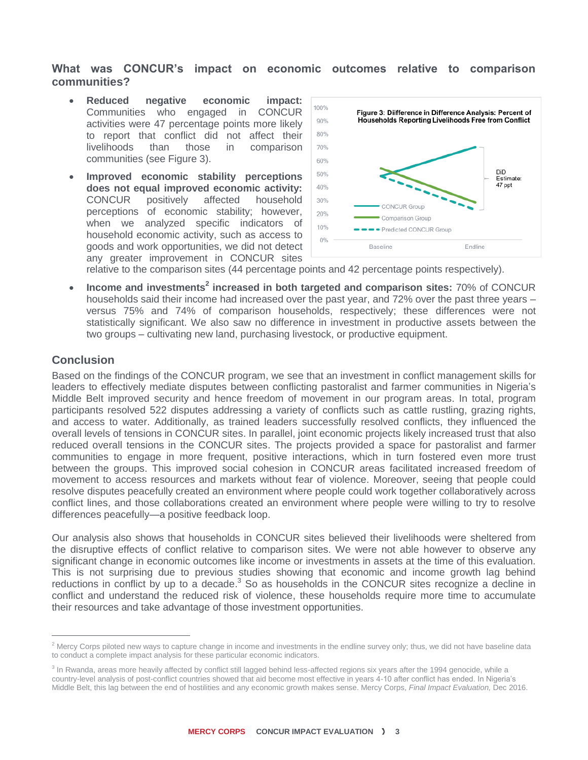#### **What was CONCUR's impact on economic outcomes relative to comparison communities?**

- **Reduced negative economic impact:** Communities who engaged in CONCUR activities were 47 percentage points more likely to report that conflict did not affect their livelihoods than those in comparison communities (see Figure 3).
- **Improved economic stability perceptions does not equal improved economic activity:**  CONCUR positively affected household perceptions of economic stability; however, when we analyzed specific indicators of household economic activity, such as access to goods and work opportunities, we did not detect any greater improvement in CONCUR sites



relative to the comparison sites (44 percentage points and 42 percentage points respectively).

**Income and investments<sup>2</sup> increased in both targeted and comparison sites: 70% of CONCUR** households said their income had increased over the past year, and 72% over the past three years – versus 75% and 74% of comparison households, respectively; these differences were not statistically significant. We also saw no difference in investment in productive assets between the two groups – cultivating new land, purchasing livestock, or productive equipment.

#### **Conclusion**

 $\overline{a}$ 

Based on the findings of the CONCUR program, we see that an investment in conflict management skills for leaders to effectively mediate disputes between conflicting pastoralist and farmer communities in Nigeria's Middle Belt improved security and hence freedom of movement in our program areas. In total, program participants resolved 522 disputes addressing a variety of conflicts such as cattle rustling, grazing rights, and access to water. Additionally, as trained leaders successfully resolved conflicts, they influenced the overall levels of tensions in CONCUR sites. In parallel, joint economic projects likely increased trust that also reduced overall tensions in the CONCUR sites. The projects provided a space for pastoralist and farmer communities to engage in more frequent, positive interactions, which in turn fostered even more trust between the groups. This improved social cohesion in CONCUR areas facilitated increased freedom of movement to access resources and markets without fear of violence. Moreover, seeing that people could resolve disputes peacefully created an environment where people could work together collaboratively across conflict lines, and those collaborations created an environment where people were willing to try to resolve differences peacefully—a positive feedback loop.

Our analysis also shows that households in CONCUR sites believed their livelihoods were sheltered from the disruptive effects of conflict relative to comparison sites. We were not able however to observe any significant change in economic outcomes like income or investments in assets at the time of this evaluation. This is not surprising due to previous studies showing that economic and income growth lag behind reductions in conflict by up to a decade.<sup>3</sup> So as households in the CONCUR sites recognize a decline in conflict and understand the reduced risk of violence, these households require more time to accumulate their resources and take advantage of those investment opportunities.

 $<sup>2</sup>$  Mercy Corps piloted new ways to capture change in income and investments in the endline survey only; thus, we did not have baseline data</sup> to conduct a complete impact analysis for these particular economic indicators.

<sup>&</sup>lt;sup>3</sup> In Rwanda, areas more heavily affected by conflict still lagged behind less-affected regions six years after the 1994 genocide, while a country-level analysis of post-conflict countries showed that aid become most effective in years 4-10 after conflict has ended. In Nigeria's Middle Belt, this lag between the end of hostilities and any economic growth makes sense. Mercy Corps, *Final Impact Evaluation,* Dec 2016.